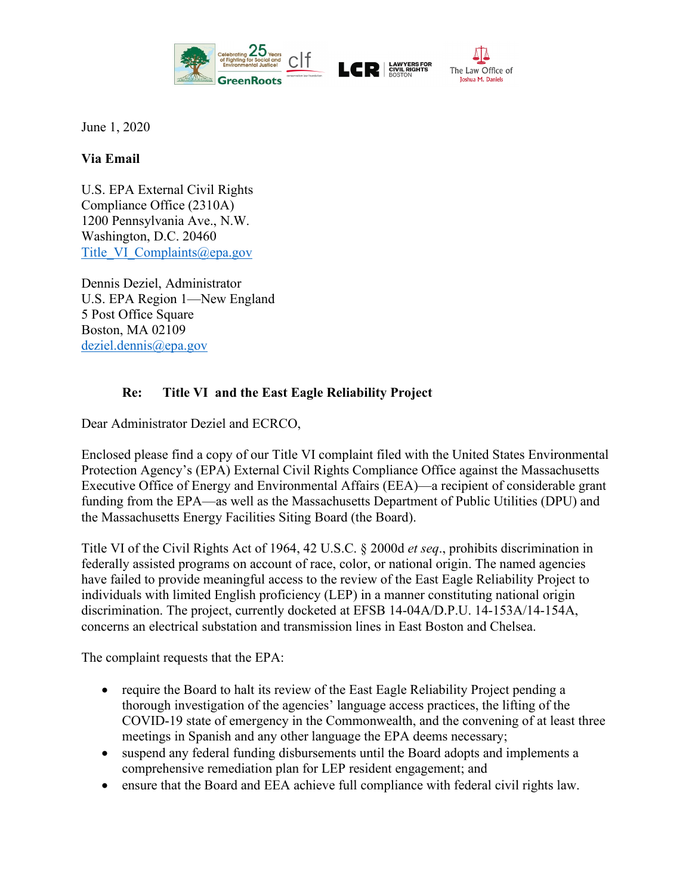

June 1, 2020

## **Via Email**

U.S. EPA External Civil Rights Compliance Office (2310A) 1200 Pennsylvania Ave., N.W. Washington, D.C. 20460 Title VI Complaints@epa.gov

Dennis Deziel, Administrator U.S. EPA Region 1—New England 5 Post Office Square Boston, MA 02109 [deziel.dennis@epa.gov](mailto:deziel.dennis@epa.gov)

## **Re: Title VI and the East Eagle Reliability Project**

Dear Administrator Deziel and ECRCO,

Enclosed please find a copy of our Title VI complaint filed with the United States Environmental Protection Agency's (EPA) External Civil Rights Compliance Office against the Massachusetts Executive Office of Energy and Environmental Affairs (EEA)—a recipient of considerable grant funding from the EPA—as well as the Massachusetts Department of Public Utilities (DPU) and the Massachusetts Energy Facilities Siting Board (the Board).

Title VI of the Civil Rights Act of 1964, 42 U.S.C. § 2000d *et seq*., prohibits discrimination in federally assisted programs on account of race, color, or national origin. The named agencies have failed to provide meaningful access to the review of the East Eagle Reliability Project to individuals with limited English proficiency (LEP) in a manner constituting national origin discrimination. The project, currently docketed at EFSB 14-04A/D.P.U. 14-153A/14-154A, concerns an electrical substation and transmission lines in East Boston and Chelsea.

The complaint requests that the EPA:

- require the Board to halt its review of the East Eagle Reliability Project pending a thorough investigation of the agencies' language access practices, the lifting of the COVID-19 state of emergency in the Commonwealth, and the convening of at least three meetings in Spanish and any other language the EPA deems necessary;
- suspend any federal funding disbursements until the Board adopts and implements a comprehensive remediation plan for LEP resident engagement; and
- ensure that the Board and EEA achieve full compliance with federal civil rights law.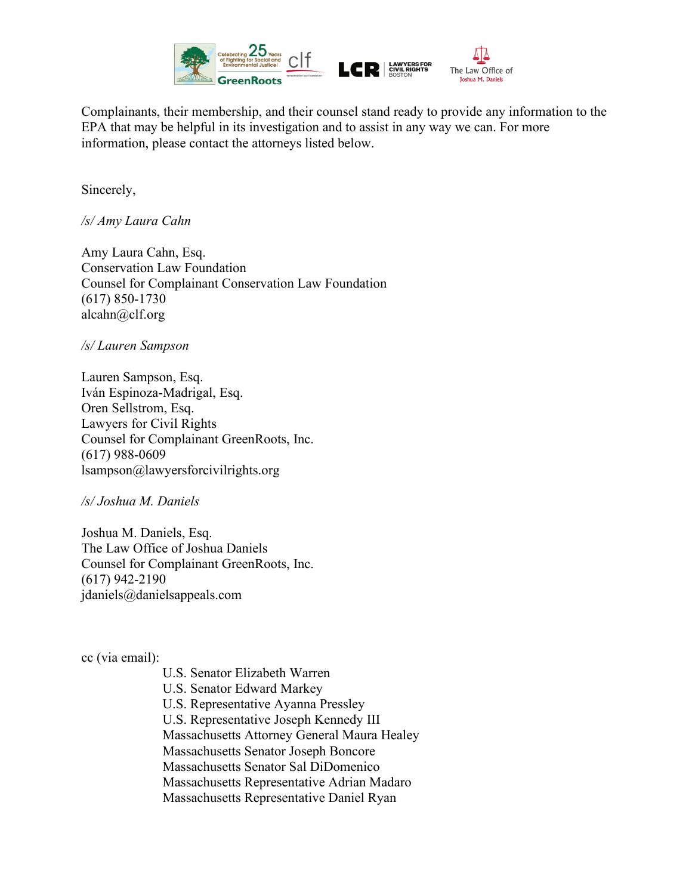

Complainants, their membership, and their counsel stand ready to provide any information to the EPA that may be helpful in its investigation and to assist in any way we can. For more information, please contact the attorneys listed below.

Sincerely,

*/s/ Amy Laura Cahn*

Amy Laura Cahn, Esq. Conservation Law Foundation Counsel for Complainant Conservation Law Foundation (617) 850-1730 alcahn@clf.org

## */s/ Lauren Sampson*

Lauren Sampson, Esq. Iván Espinoza-Madrigal, Esq. Oren Sellstrom, Esq. Lawyers for Civil Rights Counsel for Complainant GreenRoots, Inc. (617) 988-0609 lsampson@lawyersforcivilrights.org

*/s/ Joshua M. Daniels*

Joshua M. Daniels, Esq. The Law Office of Joshua Daniels Counsel for Complainant GreenRoots, Inc. (617) 942-2190 jdaniels@danielsappeals.com

cc (via email):

U.S. Senator Elizabeth Warren

U.S. Senator Edward Markey

U.S. Representative Ayanna Pressley

U.S. Representative Joseph Kennedy III

Massachusetts Attorney General Maura Healey

Massachusetts Senator Joseph Boncore

Massachusetts Senator Sal DiDomenico

Massachusetts Representative Adrian Madaro

Massachusetts Representative Daniel Ryan